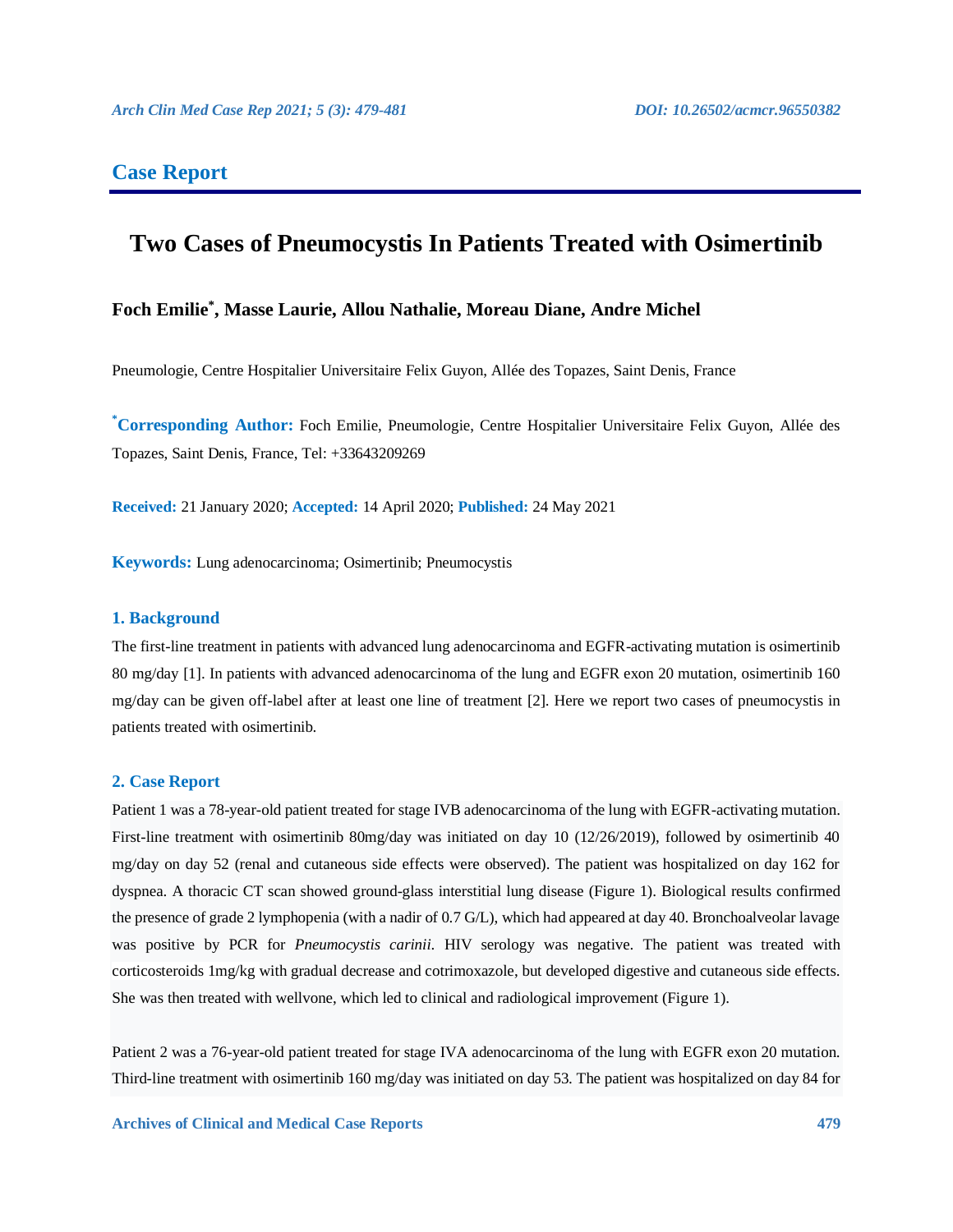# **Case Report**

# **Two Cases of Pneumocystis In Patients Treated with Osimertinib**

# **Foch Emilie\* , Masse Laurie, Allou Nathalie, Moreau Diane, Andre Michel**

Pneumologie, Centre Hospitalier Universitaire Felix Guyon, Allée des Topazes, Saint Denis, France

**\*Corresponding Author:** Foch Emilie, Pneumologie, Centre Hospitalier Universitaire Felix Guyon, Allée des Topazes, Saint Denis, France, Tel: +33643209269

**Received:** 21 January 2020; **Accepted:** 14 April 2020; **Published:** 24 May 2021

**Keywords:** Lung adenocarcinoma; Osimertinib; Pneumocystis

#### **1. Background**

The first-line treatment in patients with advanced lung adenocarcinoma and EGFR-activating mutation is osimertinib 80 mg/day [1]. In patients with advanced adenocarcinoma of the lung and EGFR exon 20 mutation, osimertinib 160 mg/day can be given off-label after at least one line of treatment [2]. Here we report two cases of pneumocystis in patients treated with osimertinib.

#### **2. Case Report**

Patient 1 was a 78-year-old patient treated for stage IVB adenocarcinoma of the lung with EGFR-activating mutation. First-line treatment with osimertinib 80mg/day was initiated on day 10 (12/26/2019), followed by osimertinib 40 mg/day on day 52 (renal and cutaneous side effects were observed). The patient was hospitalized on day 162 for dyspnea. A thoracic CT scan showed ground-glass interstitial lung disease (Figure 1). Biological results confirmed the presence of grade 2 lymphopenia (with a nadir of 0.7 G/L), which had appeared at day 40. Bronchoalveolar lavage was positive by PCR for *Pneumocystis carinii*. HIV serology was negative. The patient was treated with corticosteroids 1mg/kg with gradual decrease and cotrimoxazole, but developed digestive and cutaneous side effects. She was then treated with wellvone, which led to clinical and radiological improvement (Figure 1).

Patient 2 was a 76-year-old patient treated for stage IVA adenocarcinoma of the lung with EGFR exon 20 mutation. Third-line treatment with osimertinib 160 mg/day was initiated on day 53. The patient was hospitalized on day 84 for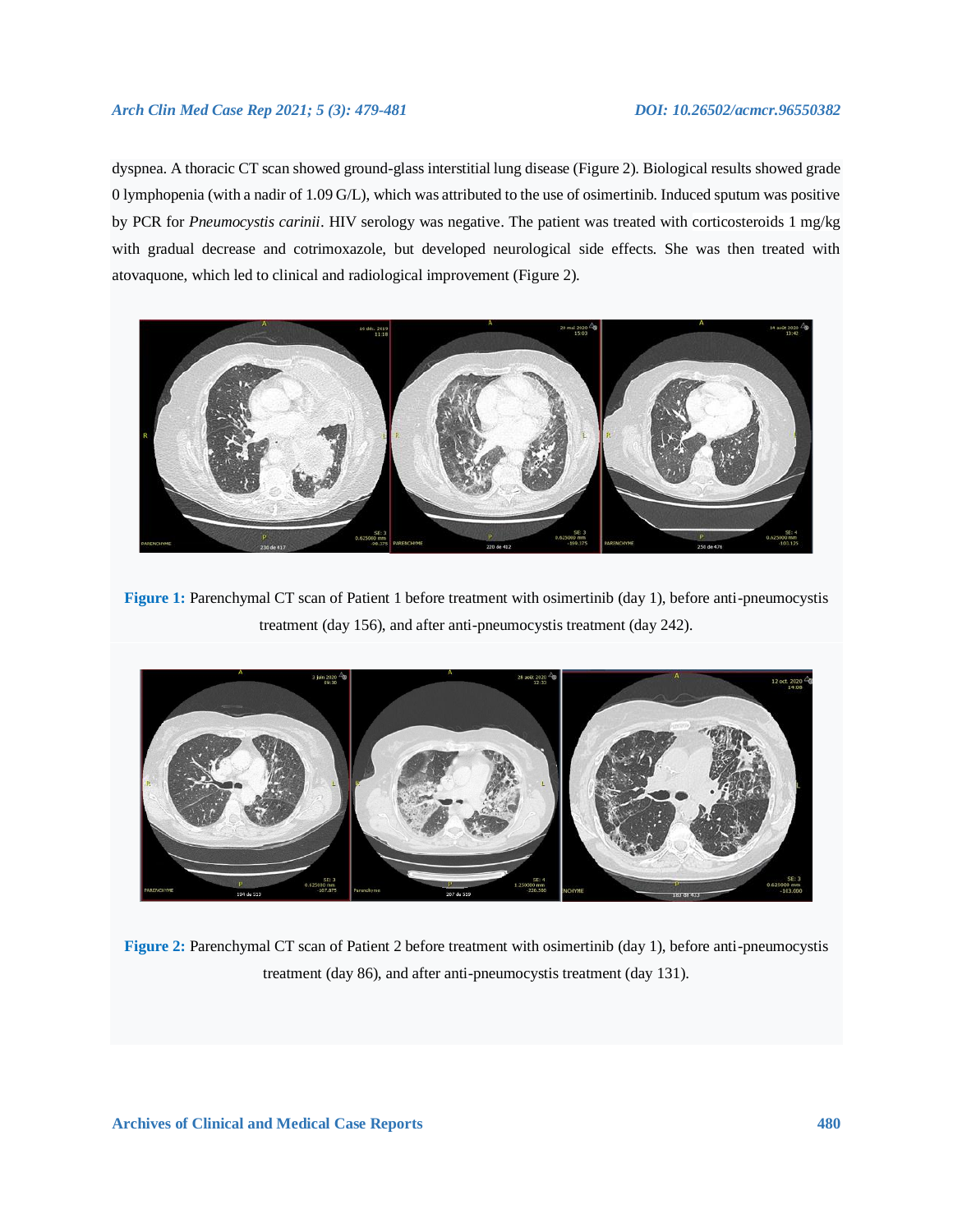### *Arch Clin Med Case Rep 2021; 5 (3): 479-481 DOI: 10.26502/acmcr.96550382*

dyspnea. A thoracic CT scan showed ground-glass interstitial lung disease (Figure 2). Biological results showed grade 0 lymphopenia (with a nadir of 1.09 G/L), which was attributed to the use of osimertinib. Induced sputum was positive by PCR for *Pneumocystis carinii*. HIV serology was negative. The patient was treated with corticosteroids 1 mg/kg with gradual decrease and cotrimoxazole, but developed neurological side effects. She was then treated with atovaquone, which led to clinical and radiological improvement (Figure 2).



**Figure 1:** Parenchymal CT scan of Patient 1 before treatment with osimertinib (day 1), before anti-pneumocystis treatment (day 156), and after anti-pneumocystis treatment (day 242).



**Figure 2:** Parenchymal CT scan of Patient 2 before treatment with osimertinib (day 1), before anti-pneumocystis treatment (day 86), and after anti-pneumocystis treatment (day 131).